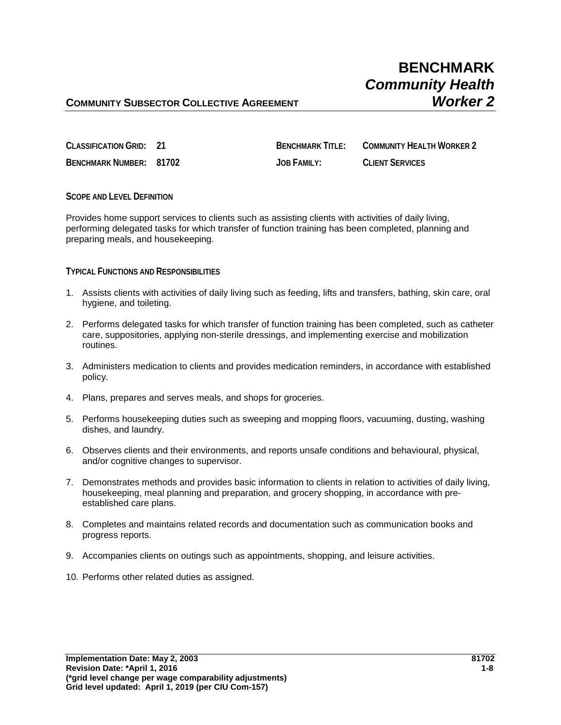# **COMMUNITY SUBSECTOR COLLECTIVE AGREEMENT** *Worker 2*

| CLASSIFICATION GRID: 21        | <b>BENCHMARK TITLE:</b> | COMMUNITY HEALTH WORKER 2 |
|--------------------------------|-------------------------|---------------------------|
| <b>BENCHMARK NUMBER: 81702</b> | <b>JOB FAMILY:</b>      | <b>CLIENT SERVICES</b>    |

### **SCOPE AND LEVEL DEFINITION**

Provides home support services to clients such as assisting clients with activities of daily living, performing delegated tasks for which transfer of function training has been completed, planning and preparing meals, and housekeeping.

### **TYPICAL FUNCTIONS AND RESPONSIBILITIES**

- 1. Assists clients with activities of daily living such as feeding, lifts and transfers, bathing, skin care, oral hygiene, and toileting.
- 2. Performs delegated tasks for which transfer of function training has been completed, such as catheter care, suppositories, applying non-sterile dressings, and implementing exercise and mobilization routines.
- 3. Administers medication to clients and provides medication reminders, in accordance with established policy.
- 4. Plans, prepares and serves meals, and shops for groceries.
- 5. Performs housekeeping duties such as sweeping and mopping floors, vacuuming, dusting, washing dishes, and laundry.
- 6. Observes clients and their environments, and reports unsafe conditions and behavioural, physical, and/or cognitive changes to supervisor.
- 7. Demonstrates methods and provides basic information to clients in relation to activities of daily living, housekeeping, meal planning and preparation, and grocery shopping, in accordance with preestablished care plans.
- 8. Completes and maintains related records and documentation such as communication books and progress reports.
- 9. Accompanies clients on outings such as appointments, shopping, and leisure activities.
- 10. Performs other related duties as assigned.